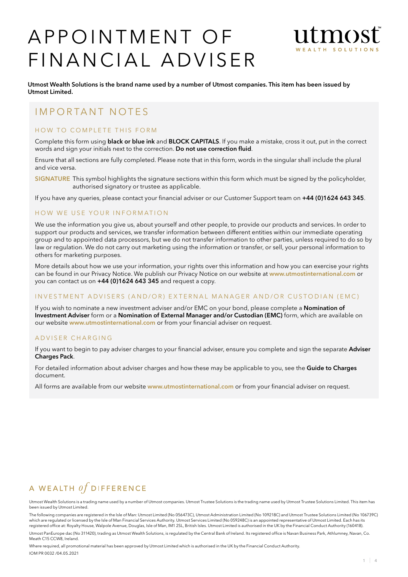# A P P O IN T M E N T O F FINANCIAL ADVISER



Utmost Wealth Solutions is the brand name used by a number of Utmost companies. This item has been issued by Utmost Limited.

# IMPORTANT NOTES

# HOW TO COMPLETE THIS FORM

Complete this form using **black or blue ink** and **BLOCK CAPITALS**. If you make a mistake, cross it out, put in the correct words and sign your initials next to the correction. Do not use correction fluid.

Ensure that all sections are fully completed. Please note that in this form, words in the singular shall include the plural and vice versa.

SIGNATURE This symbol highlights the signature sections within this form which must be signed by the policyholder, authorised signatory or trustee as applicable.

If you have any queries, please contact your financial adviser or our Customer Support team on +44 (0)1624 643 345.

#### HOW WE USE YOUR INFORMATION

We use the information you give us, about yourself and other people, to provide our products and services. In order to support our products and services, we transfer information between different entities within our immediate operating group and to appointed data processors, but we do not transfer information to other parties, unless required to do so by law or regulation. We do not carry out marketing using the information or transfer, or sell, your personal information to others for marketing purposes.

More details about how we use your information, your rights over this information and how you can exercise your rights can be found in our Privacy Notice. We publish our Privacy Notice on our website at www.utmostinternational.com or you can contact us on +44 (0)1624 643 345 and request a copy.

### INVESTMENT ADVISERS (AND/OR) EXTERNAL MANAGER AND/OR CUSTODIAN (EMC)

If you wish to nominate a new investment adviser and/or EMC on your bond, please complete a Nomination of Investment Adviser form or a Nomination of External Manager and/or Custodian (EMC) form, which are available on our website www.utmostinternational.com or from your financial adviser on request.

#### A D V I S E R C H A R G I N G

If you want to begin to pay adviser charges to your financial adviser, ensure you complete and sign the separate Adviser Charges Pack.

For detailed information about adviser charges and how these may be applicable to you, see the Guide to Charges document.

All forms are available from our website www.utmostinternational.com or from your financial adviser on request.

# A WEALTH  $of$  DIFFERENCE

Utmost Wealth Solutions is a trading name used by a number of Utmost companies. Utmost Trustee Solutions is the trading name used by Utmost Trustee Solutions Limited. This item has been issued by Utmost Limited.

The following companies are registered in the Isle of Man: Utmost Limited (No 056473C), Utmost Administration Limited (No 109218C) and Utmost Trustee Solutions Limited (No 106739C) which are regulated or licensed by the Isle of Man Financial Services Authority. Utmost Services Limited (No 059248C) is an appointed representative of Utmost Limited. Each has its<br>registered office at: Royalty House, Walp

Utmost PanEurope dac (No 311420), trading as Utmost Wealth Solutions, is regulated by the Central Bank of Ireland. Its registered office is Navan Business Park, Athlumney, Navan, Co. Meath C15 CCW8, Ireland

Where required, all promotional material has been approved by Utmost Limited which is authorised in the UK by the Financial Conduct Authority. IOM PR 0032 /04.05.2021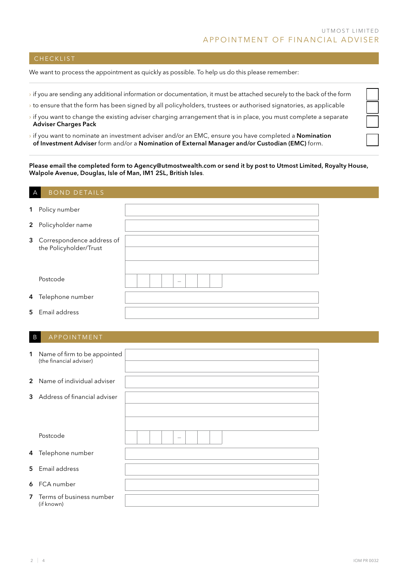# **CHECKLIST**

We want to process the appointment as quickly as possible. To help us do this please remember:

- › if you are sending any additional information or documentation, it must be attached securely to the back of the form
- › to ensure that the form has been signed by all policyholders, trustees or authorised signatories, as applicable
- $\rightarrow$  if you want to change the existing adviser charging arrangement that is in place, you must complete a separate Adviser Charges Pack
- $\rightarrow$  if you want to nominate an investment adviser and/or an EMC, ensure you have completed a **Nomination** of Investment Adviser form and/or a Nomination of External Manager and/or Custodian (EMC) form.

Please email the completed form to Agency@utmostwealth.com or send it by post to Utmost Limited, Royalty House, Walpole Avenue, Douglas, Isle of Man, IM1 2SL, British Isles.

# BOND DETAILS

| 1 Policy number             |  |  |        |  |  |  |  |  |
|-----------------------------|--|--|--------|--|--|--|--|--|
|                             |  |  |        |  |  |  |  |  |
| 2 Policyholder name         |  |  |        |  |  |  |  |  |
|                             |  |  |        |  |  |  |  |  |
| 3 Correspondence address of |  |  |        |  |  |  |  |  |
| the Policyholder/Trust      |  |  |        |  |  |  |  |  |
|                             |  |  |        |  |  |  |  |  |
|                             |  |  |        |  |  |  |  |  |
|                             |  |  |        |  |  |  |  |  |
| Postcode                    |  |  |        |  |  |  |  |  |
|                             |  |  | $\sim$ |  |  |  |  |  |
|                             |  |  |        |  |  |  |  |  |
| 4 Telephone number          |  |  |        |  |  |  |  |  |
|                             |  |  |        |  |  |  |  |  |
| 5 Email address             |  |  |        |  |  |  |  |  |
|                             |  |  |        |  |  |  |  |  |

### B APPOINTMENT

| $\mathbf 1$    | Name of firm to be appointed<br>(the financial adviser) |                                 |
|----------------|---------------------------------------------------------|---------------------------------|
|                |                                                         |                                 |
|                |                                                         |                                 |
|                | 2 Name of individual adviser                            |                                 |
|                |                                                         |                                 |
|                | 3 Address of financial adviser                          |                                 |
|                |                                                         |                                 |
|                |                                                         |                                 |
|                |                                                         |                                 |
|                |                                                         |                                 |
|                |                                                         |                                 |
|                | Postcode                                                | $\hspace{0.1mm}-\hspace{0.1mm}$ |
|                |                                                         |                                 |
|                |                                                         |                                 |
|                | 4 Telephone number                                      |                                 |
|                |                                                         |                                 |
|                |                                                         |                                 |
|                | 5 Email address                                         |                                 |
|                |                                                         |                                 |
|                |                                                         |                                 |
|                | 6 FCA number                                            |                                 |
|                |                                                         |                                 |
| $\overline{7}$ | Terms of business number                                |                                 |
|                | (if known)                                              |                                 |
|                |                                                         |                                 |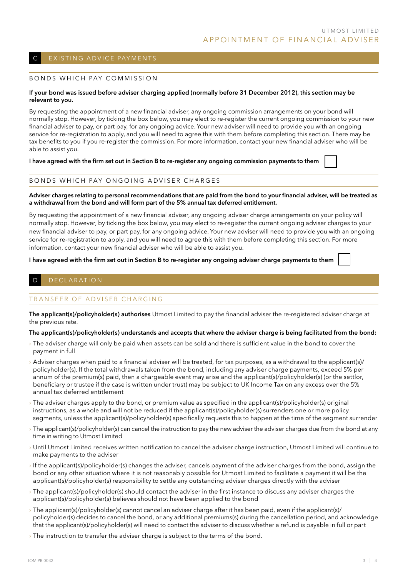# EXISTING ADVICE PAYMENTS

#### BONDS WHICH PAY COMMISSION

#### If your bond was issued before adviser charging applied (normally before 31 December 2012), this section may be relevant to you.

By requesting the appointment of a new financial adviser, any ongoing commission arrangements on your bond will normally stop. However, by ticking the box below, you may elect to re-register the current ongoing commission to your new financial adviser to pay, or part pay, for any ongoing advice. Your new adviser will need to provide you with an ongoing service for re-registration to apply, and you will need to agree this with them before completing this section. There may be tax benefits to you if you re-register the commission. For more information, contact your new financial adviser who will be able to assist you.

I have agreed with the firm set out in Section B to re-register any ongoing commission payments to them

#### BONDS WHICH PAY ONGOING ADVISER CHARGES

#### Adviser charges relating to personal recommendations that are paid from the bond to your financial adviser, will be treated as a withdrawal from the bond and will form part of the 5% annual tax deferred entitlement.

By requesting the appointment of a new financial adviser, any ongoing adviser charge arrangements on your policy will normally stop. However, by ticking the box below, you may elect to re-register the current ongoing adviser charges to your new financial adviser to pay, or part pay, for any ongoing advice. Your new adviser will need to provide you with an ongoing service for re-registration to apply, and you will need to agree this with them before completing this section. For more information, contact your new financial adviser who will be able to assist you.

#### I have agreed with the firm set out in Section B to re-register any ongoing adviser charge payments to them

# D E C L A R AT I O N

# TRANSFFR OF ADVISER CHARGING

The applicant(s)/policyholder(s) authorises Utmost Limited to pay the financial adviser the re-registered adviser charge at the previous rate.

#### The applicant(s)/policyholder(s) understands and accepts that where the adviser charge is being facilitated from the bond:

- › The adviser charge will only be paid when assets can be sold and there is sufficient value in the bond to cover the payment in full
- › Adviser charges when paid to a financial adviser will be treated, for tax purposes, as a withdrawal to the applicant(s)/ policyholder(s). If the total withdrawals taken from the bond, including any adviser charge payments, exceed 5% per annum of the premium(s) paid, then a chargeable event may arise and the applicant(s)/policyholder(s) (or the settlor, beneficiary or trustee if the case is written under trust) may be subject to UK Income Tax on any excess over the 5% annual tax deferred entitlement
- › The adviser charges apply to the bond, or premium value as specified in the applicant(s)/policyholder(s) original instructions, as a whole and will not be reduced if the applicant(s)/policyholder(s) surrenders one or more policy segments, unless the applicant(s)/policyholder(s) specifically requests this to happen at the time of the segment surrender
- > The applicant(s)/policyholder(s) can cancel the instruction to pay the new adviser the adviser charges due from the bond at any time in writing to Utmost Limited
- › Until Utmost Limited receives written notification to cancel the adviser charge instruction, Utmost Limited will continue to make payments to the adviser
- › If the applicant(s)/policyholder(s) changes the adviser, cancels payment of the adviser charges from the bond, assign the bond or any other situation where it is not reasonably possible for Utmost Limited to facilitate a payment it will be the applicant(s)/policyholder(s) responsibility to settle any outstanding adviser charges directly with the adviser
- › The applicant(s)/policyholder(s) should contact the adviser in the first instance to discuss any adviser charges the applicant(s)/policyholder(s) believes should not have been applied to the bond
- › The applicant(s)/policyholder(s) cannot cancel an adviser charge after it has been paid, even if the applicant(s)/ policyholder(s) decides to cancel the bond, or any additional premiums(s) during the cancellation period, and acknowledge that the applicant(s)/policyholder(s) will need to contact the adviser to discuss whether a refund is payable in full or part
- $\rightarrow$  The instruction to transfer the adviser charge is subject to the terms of the bond.